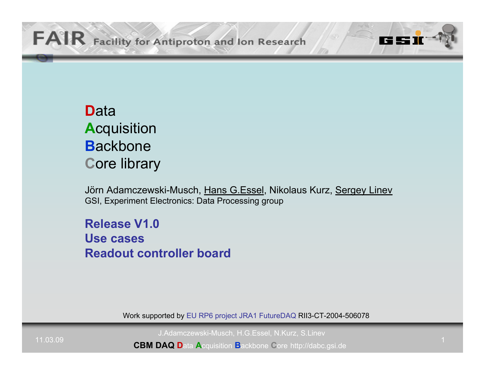# **D**ata**A**cquisition **B**ackbone**C**ore library

Jörn Adamczewski-Musch, Hans G.Essel, Nikolaus Kurz, Sergey Linev GSI, Experiment Electronics: Data Processing group

**Release V1.0Use casesReadout controller board**

Work supported by EU RP6 project JRA1 FutureDAQ RII3-CT-2004-506078

J.Adamczewski-Musch, H.G.Essel, N.Kurz, S.Linev

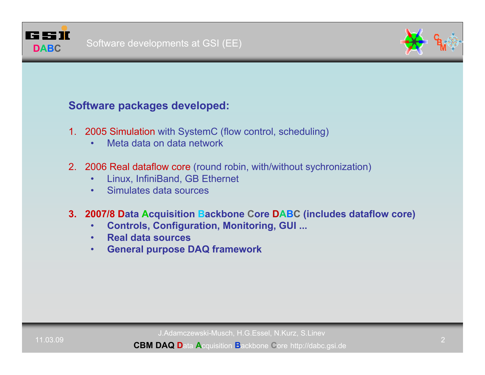

## **Software packages developed:**

- 1. 2005 Simulation with SystemC (flow control, scheduling)
	- •Meta data on data network
- 2. 2006 Real dataflow core (round robin, with/without sychronization)
	- •Linux, InfiniBand, GB Ethernet
	- •Simulates data sources
- **3. 2007/8 Data Acquisition Backbone Core DABC (includes dataflow core)**
	- •**Controls, Configuration, Monitoring, GUI ...**
	- •**Real data sources**
	- •**General purpose DAQ framework**

J.Adamczewski-Musch, H.G.Essel, N.Kurz, S.Linev

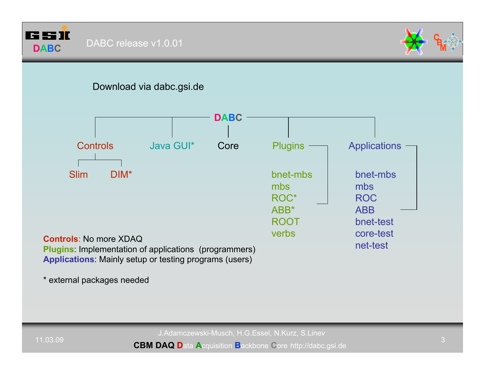



## Download via dabc.gsi.de



\* external packages needed

J.Adamczewski-Musch, H.G.Essel, N.Kurz, S.Linev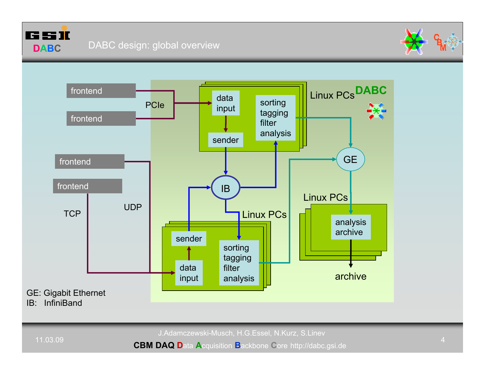





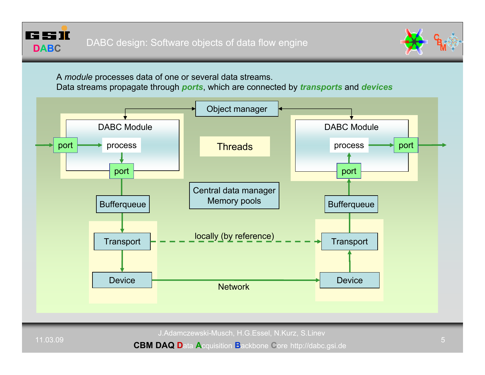



A *module* processes data of one or several data streams.

Data streams propagate through *ports*, which are connected by *transports* and *devices*



J.Adamczewski-Musch, H.G.Essel, N.Kurz, S.Linev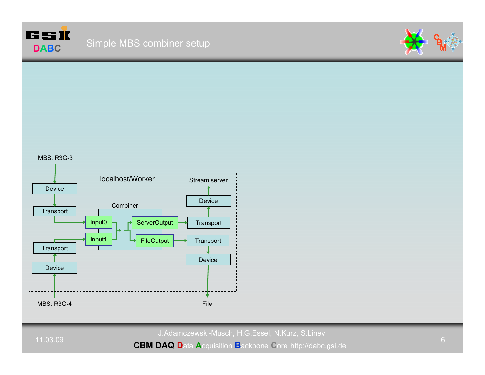



#### MBS: R3G-3



J.Adamczewski-Musch, H.G.Essel, N.Kurz, S.Linev

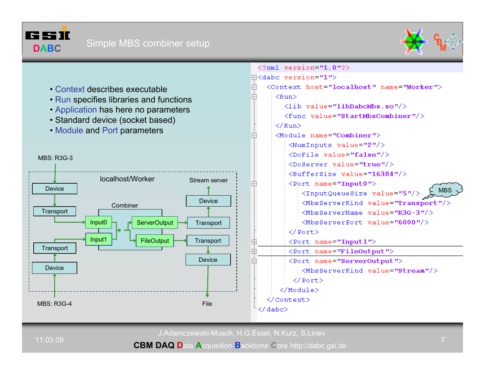





11.03.09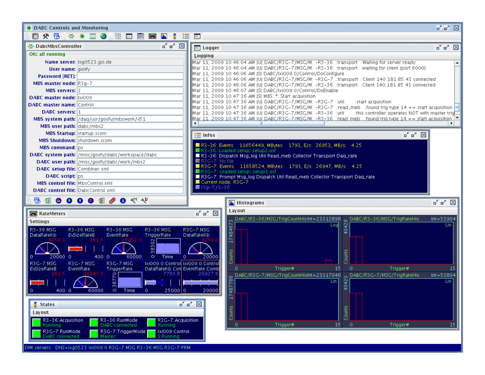

DIM servers: DNS=1xg0523 Ixi009:0 R3G-7:MSG R3-36:MSG R3G-7:PRM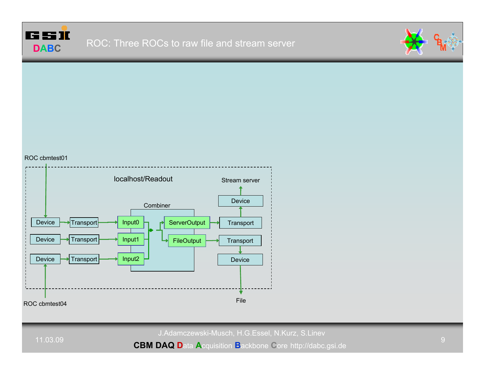



### ROC cbmtest01



J.Adamczewski-Musch, H.G.Essel, N.Kurz, S.Linev

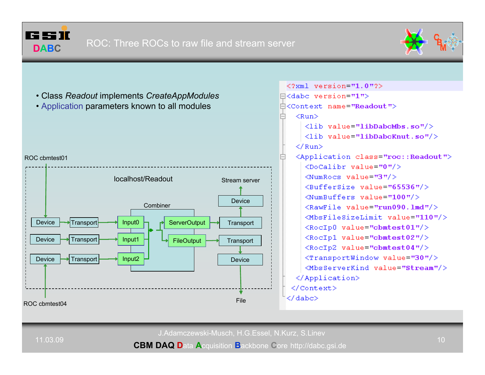



- Class *Readout* implements *CreateAppModules*
- Application parameters known to all modules



 $\leq 2 \times m$ ] version="1.0"2>  $\Box$ <dabc version="1"> Å<Context name="Readout">  $<$ Run $>$  $\langle$ lib value="libDabcMbs.so"/>  $\langle$ lib value="libDabcKnut.so"/>  $\langle$ /Run> <Application class="roc:: Readout">  $\langle$ DoCalibr value="0"/>  $\text{NumRocs value} = \text{"3"}/\text{N}$ <BufferSize value="65536"/>  $\langle$ NumBuffers value="100"/ $\rangle$  $\langle$ RawFile value="run090.1md"/> <MbsFileSizeLimit value="110"/> <RocIp0 value="cbmtest01"/> <RocIp1 value="cbmtest02"/> <RocIp2 value="cbmtest04"/>  $\langle$ TransportWindow value="30"/> <MbsServerKind value="Stream"/> </Application> </Context>

J.Adamczewski-Musch, H.G.Essel, N.Kurz, S.Linev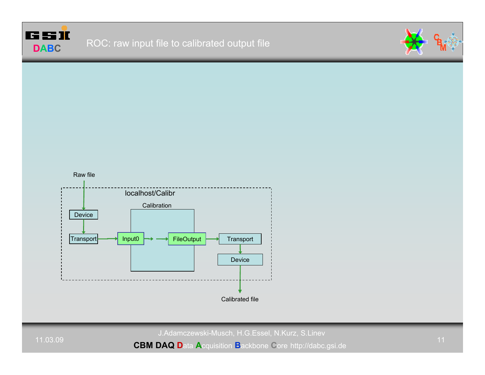





Calibrated file

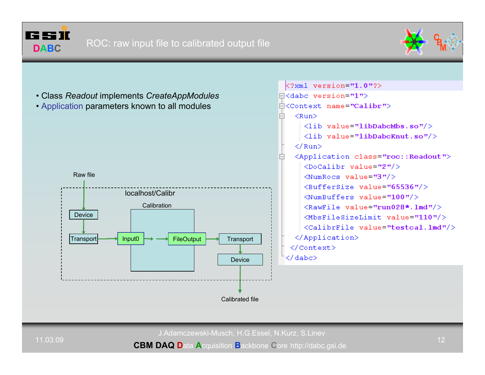



 $\text{K2cm1}$  version="1.0"?>  $\exists$ <dabc version="1"> • Class *Readout* implements *CreateAppModules* Å<Context name="Calibr"> • Application parameters known to all modules  $<$ Run $>$  $\langle$ lib value="libDabcMbs.so"/>  $\langle$ lib value="libDabcKnut.so"/>  $\langle$ /Run> <Application class="roc:: Readout">  $\langle$ DoCalibr value="2"/> Raw file $\text{NumRocs value} = \text{"3"}/\text{?}$ <BufferSize value="65536"/> localhost/Calibr $\langle$ NumBuffers value="100"/> Calibration $\langle$ RawFile value="run028\*.1md"/> Device<MbsFileSizeLimit value="110"/> <CalibrFile value="testcal.lmd"/> </Application> Transport Input0 **FileOutput Transport** </Context> </dabc> DeviceCalibrated file

J.Adamczewski-Musch, H.G.Essel, N.Kurz, S.Linev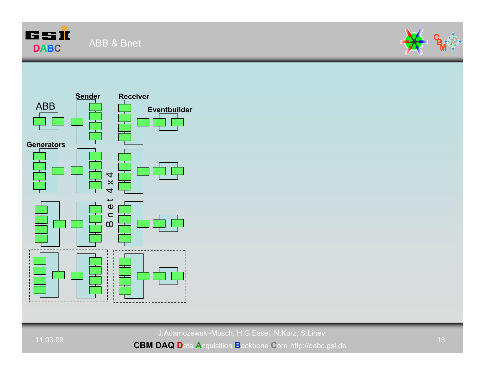





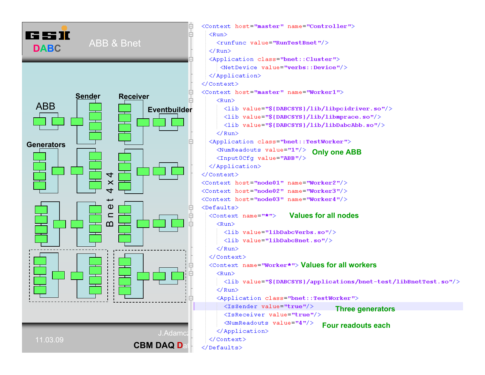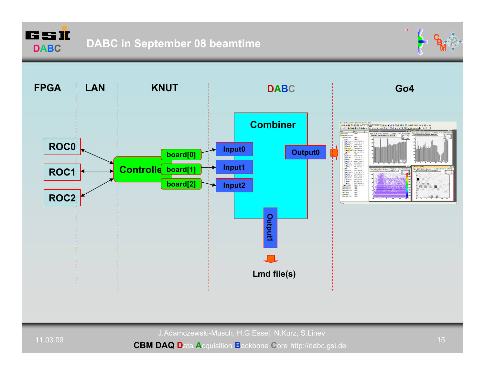





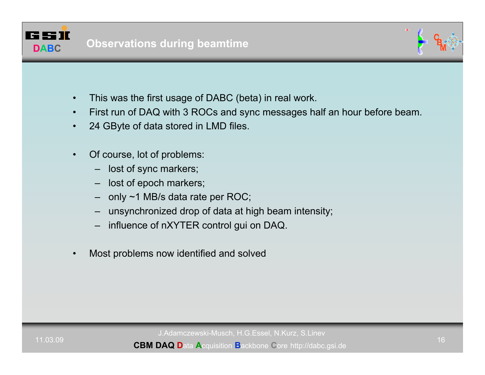



- •This was the first usage of DABC (beta) in real work.
- •First run of DAQ with 3 ROCs and sync messages half an hour before beam.
- •24 GByte of data stored in LMD files.
- • Of course, lot of problems:
	- lost of sync markers;
	- –lost of epoch markers;
	- –only ~1 MB/s data rate per ROC;
	- –unsynchronized drop of data at high beam intensity;
	- –influence of nXYTER control gui on DAQ.
- •Most problems now identified and solved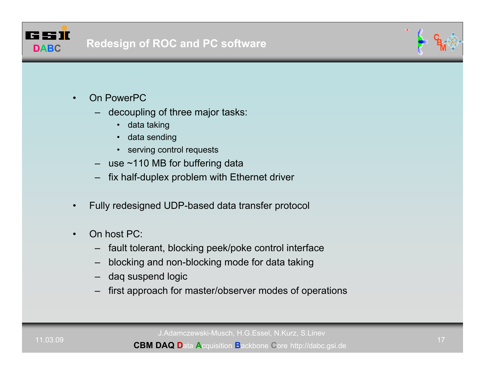



- • On PowerPC
	- decoupling of three major tasks:
		- data taking
		- •data sending
		- serving control requests
	- use ~110 MB for buffering data
	- fix half-duplex problem with Ethernet driver
- •Fully redesigned UDP-based data transfer protocol
- • On host PC:
	- –fault tolerant, blocking peek/poke control interface
	- –blocking and non-blocking mode for data taking
	- daq suspend logic
	- –first approach for master/observer modes of operations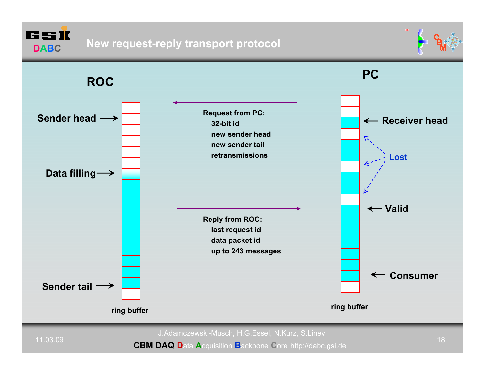6 S II **DABC**





J.Adamczewski-Musch, H.G.Essel, N.Kurz, S.Linev

11.03.09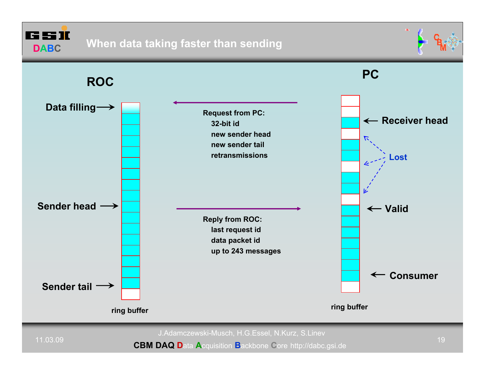65 II **DABC**





J.Adamczewski-Musch, H.G.Essel, N.Kurz, S.Linev

11.03.09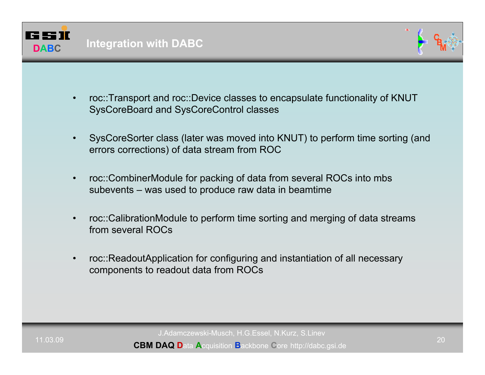



- • roc::Transport and roc::Device classes to encapsulate functionality of KNUT SysCoreBoard and SysCoreControl classes
- • SysCoreSorter class (later was moved into KNUT) to perform time sorting (and errors corrections) of data stream from ROC
- • roc::CombinerModule for packing of data from several ROCs into mbs subevents – was used to produce raw data in beamtime
- • roc::CalibrationModule to perform time sorting and merging of data streams from several ROCs
- • roc::ReadoutApplication for configuring and instantiation of all necessary components to readout data from ROCs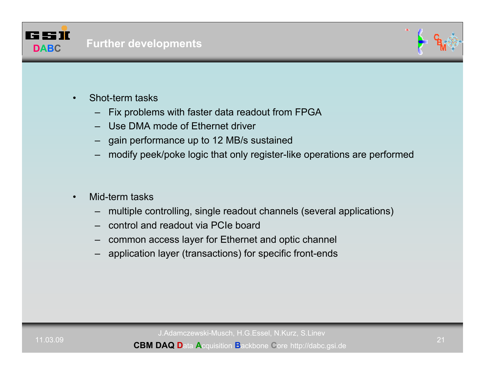



- • Shot-term tasks
	- Fix problems with faster data readout from FPGA
	- Use DMA mode of Ethernet driver
	- gain performance up to 12 MB/s sustained
	- modify peek/poke logic that only register-like operations are performed
- • Mid-term tasks
	- multiple controlling, single readout channels (several applications)
	- control and readout via PCIe board
	- –common access layer for Ethernet and optic channel
	- application layer (transactions) for specific front-ends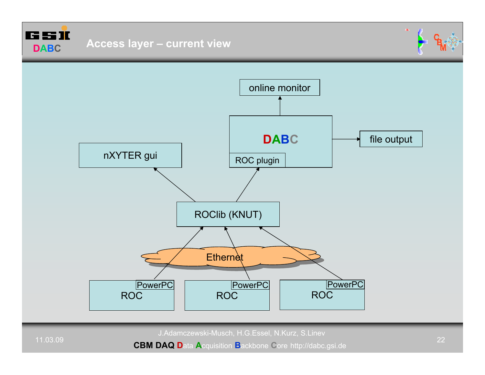



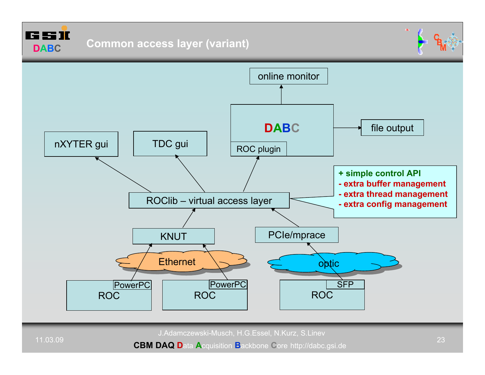



11.03.09

**CBM DAQ D**ata **A**cquisition **B**ackbone **C**ore http://dabc.gsi.de

 $\alpha$